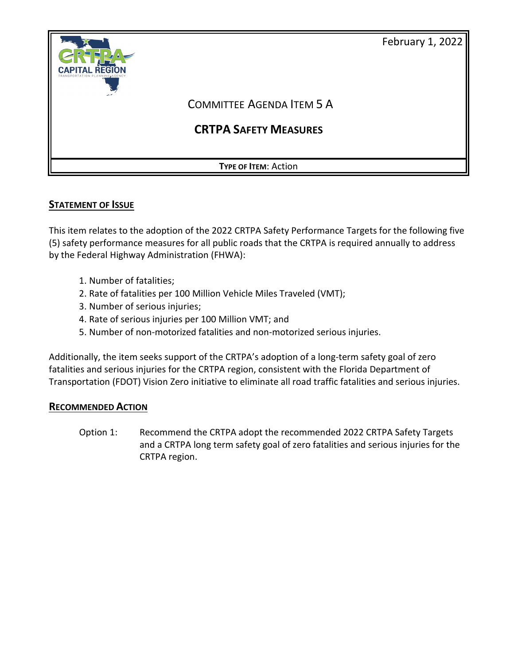

# **STATEMENT OF ISSUE**

This item relates to the adoption of the 2022 CRTPA Safety Performance Targets for the following five (5) safety performance measures for all public roads that the CRTPA is required annually to address by the Federal Highway Administration (FHWA):

- 1. Number of fatalities;
- 2. Rate of fatalities per 100 Million Vehicle Miles Traveled (VMT);
- 3. Number of serious injuries;
- 4. Rate of serious injuries per 100 Million VMT; and
- 5. Number of non-motorized fatalities and non-motorized serious injuries.

Additionally, the item seeks support of the CRTPA's adoption of a long-term safety goal of zero fatalities and serious injuries for the CRTPA region, consistent with the Florida Department of Transportation (FDOT) Vision Zero initiative to eliminate all road traffic fatalities and serious injuries.

### **RECOMMENDED ACTION**

Option 1: Recommend the CRTPA adopt the recommended 2022 CRTPA Safety Targets and a CRTPA long term safety goal of zero fatalities and serious injuries for the CRTPA region.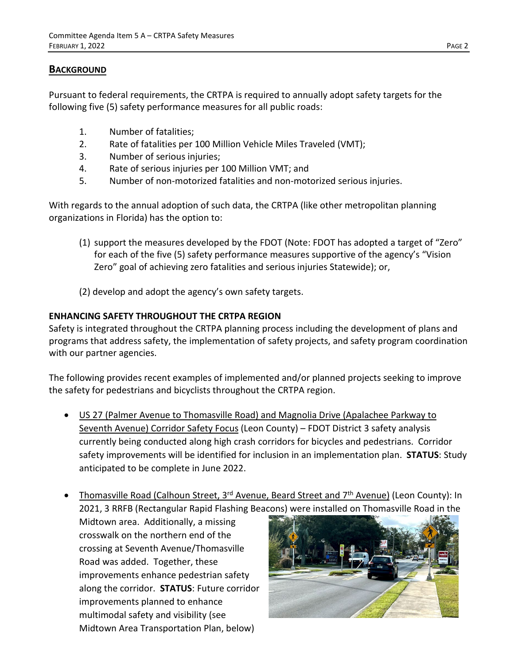# **BACKGROUND**

Pursuant to federal requirements, the CRTPA is required to annually adopt safety targets for the following five (5) safety performance measures for all public roads:

- 1. Number of fatalities;
- 2. Rate of fatalities per 100 Million Vehicle Miles Traveled (VMT);
- 3. Number of serious injuries;
- 4. Rate of serious injuries per 100 Million VMT; and
- 5. Number of non-motorized fatalities and non-motorized serious injuries.

With regards to the annual adoption of such data, the CRTPA (like other metropolitan planning organizations in Florida) has the option to:

- (1) support the measures developed by the FDOT (Note: FDOT has adopted a target of "Zero" for each of the five (5) safety performance measures supportive of the agency's "Vision Zero" goal of achieving zero fatalities and serious injuries Statewide); or,
- (2) develop and adopt the agency's own safety targets.

# **ENHANCING SAFETY THROUGHOUT THE CRTPA REGION**

Safety is integrated throughout the CRTPA planning process including the development of plans and programs that address safety, the implementation of safety projects, and safety program coordination with our partner agencies.

The following provides recent examples of implemented and/or planned projects seeking to improve the safety for pedestrians and bicyclists throughout the CRTPA region.

- US 27 (Palmer Avenue to Thomasville Road) and Magnolia Drive (Apalachee Parkway to Seventh Avenue) Corridor Safety Focus (Leon County) – FDOT District 3 safety analysis currently being conducted along high crash corridors for bicycles and pedestrians. Corridor safety improvements will be identified for inclusion in an implementation plan. **STATUS**: Study anticipated to be complete in June 2022.
- Thomasville Road (Calhoun Street, 3<sup>rd</sup> Avenue, Beard Street and 7<sup>th</sup> Avenue) (Leon County): In 2021, 3 RRFB (Rectangular Rapid Flashing Beacons) were installed on Thomasville Road in the

Midtown area. Additionally, a missing crosswalk on the northern end of the crossing at Seventh Avenue/Thomasville Road was added. Together, these improvements enhance pedestrian safety along the corridor. **STATUS**: Future corridor improvements planned to enhance multimodal safety and visibility (see Midtown Area Transportation Plan, below)

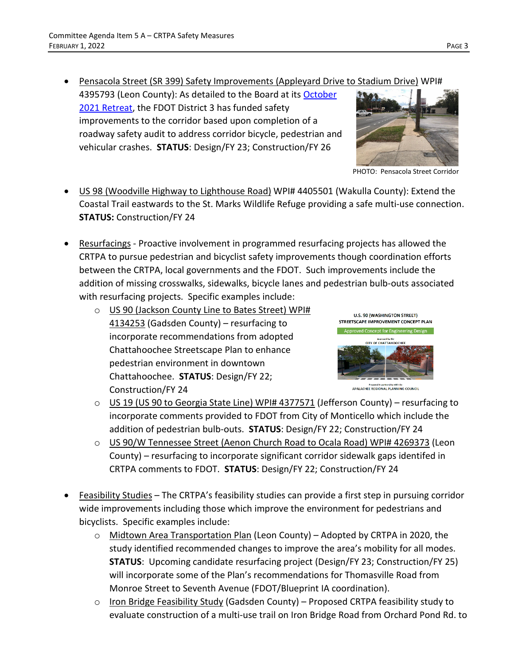- Pensacola Street (SR 399) Safety Improvements (Appleyard Drive to Stadium Drive) WPI# 4395793 (Leon County): As detailed to the Board at its [October](http://crtpa.org/wp-content/uploads/October-2021-CRTPA-Retreat-Item-Pensacola-RSA-1.pdf)  [2021 Retreat,](http://crtpa.org/wp-content/uploads/October-2021-CRTPA-Retreat-Item-Pensacola-RSA-1.pdf) the FDOT District 3 has funded safety improvements to the corridor based upon completion of a roadway safety audit to address corridor bicycle, pedestrian and vehicular crashes. **STATUS**: Design/FY 23; Construction/FY 26
- US 98 (Woodville Highway to Lighthouse Road) WPI# 4405501 (Wakulla County): Extend the Coastal Trail eastwards to the St. Marks Wildlife Refuge providing a safe multi-use connection. **STATUS:** Construction/FY 24
- Resurfacings Proactive involvement in programmed resurfacing projects has allowed the CRTPA to pursue pedestrian and bicyclist safety improvements though coordination efforts between the CRTPA, local governments and the FDOT. Such improvements include the addition of missing crosswalks, sidewalks, bicycle lanes and pedestrian bulb-outs associated with resurfacing projects. Specific examples include:
	- o US 90 (Jackson County Line to Bates Street) WPI# 4134253 (Gadsden County) – resurfacing to incorporate recommendations from adopted Chattahoochee Streetscape Plan to enhance pedestrian environment in downtown Chattahoochee. **STATUS**: Design/FY 22; Construction/FY 24



PHOTO: Pensacola Street Corridor

- o US 19 (US 90 to Georgia State Line) WPI# 4377571 (Jefferson County) resurfacing to incorporate comments provided to FDOT from City of Monticello which include the addition of pedestrian bulb-outs. **STATUS**: Design/FY 22; Construction/FY 24
- o US 90/W Tennessee Street (Aenon Church Road to Ocala Road) WPI# 4269373 (Leon County) – resurfacing to incorporate significant corridor sidewalk gaps identifed in CRTPA comments to FDOT. **STATUS**: Design/FY 22; Construction/FY 24
- Feasibility Studies The CRTPA's feasibility studies can provide a first step in pursuing corridor wide improvements including those which improve the environment for pedestrians and bicyclists. Specific examples include:
	- o Midtown Area Transportation Plan (Leon County) Adopted by CRTPA in 2020, the study identified recommended changes to improve the area's mobility for all modes. **STATUS**: Upcoming candidate resurfacing project (Design/FY 23; Construction/FY 25) will incorporate some of the Plan's recommendations for Thomasville Road from Monroe Street to Seventh Avenue (FDOT/Blueprint IA coordination).
	- o Iron Bridge Feasibility Study (Gadsden County) Proposed CRTPA feasibility study to evaluate construction of a multi-use trail on Iron Bridge Road from Orchard Pond Rd. to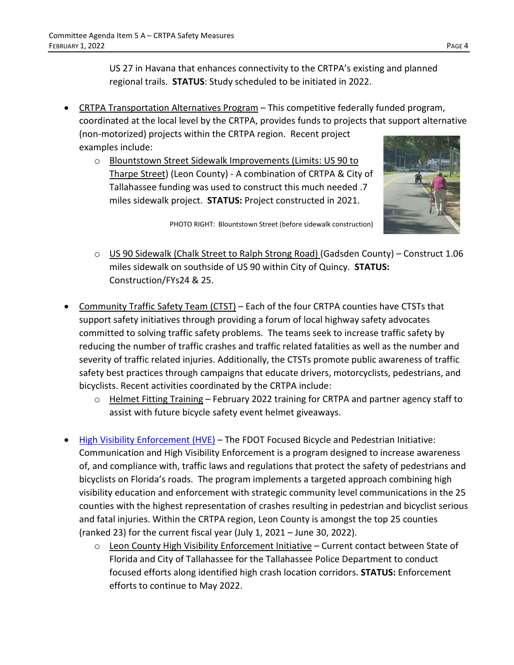US 27 in Havana that enhances connectivity to the CRTPA's existing and planned regional trails. **STATUS**: Study scheduled to be initiated in 2022.

- CRTPA Transportation Alternatives Program This competitive federally funded program, coordinated at the local level by the CRTPA, provides funds to projects that support alternative (non-motorized) projects within the CRTPA region. Recent project examples include:
	- o Blountstown Street Sidewalk Improvements (Limits: US 90 to Tharpe Street) (Leon County) - A combination of CRTPA & City of Tallahassee funding was used to construct this much needed .7 miles sidewalk project. **STATUS:** Project constructed in 2021.



PHOTO RIGHT: Blountstown Street (before sidewalk construction)

- o US 90 Sidewalk (Chalk Street to Ralph Strong Road) (Gadsden County) Construct 1.06 miles sidewalk on southside of US 90 within City of Quincy. **STATUS:** Construction/FYs24 & 25.
- [Community Traffic Safety Team \(CTST\)](http://crtpa.org/community-traffic-safety-teams-ctst/) Each of the four CRTPA counties have CTSTs that support safety initiatives through providing a forum of local highway safety advocates committed to solving traffic safety problems. The teams seek to increase traffic safety by reducing the number of traffic crashes and traffic related fatalities as well as the number and severity of traffic related injuries. Additionally, the CTSTs promote public awareness of traffic safety best practices through campaigns that educate drivers, motorcyclists, pedestrians, and bicyclists. Recent activities coordinated by the CRTPA include:
	- o Helmet Fitting Training February 2022 training for CRTPA and partner agency staff to assist with future bicycle safety event helmet giveaways.
- [High Visibility Enforcement \(HVE\)](https://alerttodayflorida.com/HVE) The FDOT Focused Bicycle and Pedestrian Initiative: Communication and High Visibility Enforcement is a program designed to increase awareness of, and compliance with, traffic laws and regulations that protect the safety of pedestrians and bicyclists on Florida's roads. The program implements a targeted approach combining high visibility education and enforcement with strategic community level communications in the 25 counties with the highest representation of crashes resulting in pedestrian and bicyclist serious and fatal injuries. Within the CRTPA region, Leon County is amongst the top 25 counties (ranked 23) for the current fiscal year (July 1, 2021 – June 30, 2022).
	- $\circ$  Leon County High Visibility Enforcement Initiative Current contact between State of Florida and City of Tallahassee for the Tallahassee Police Department to conduct focused efforts along identified high crash location corridors. **STATUS:** Enforcement efforts to continue to May 2022.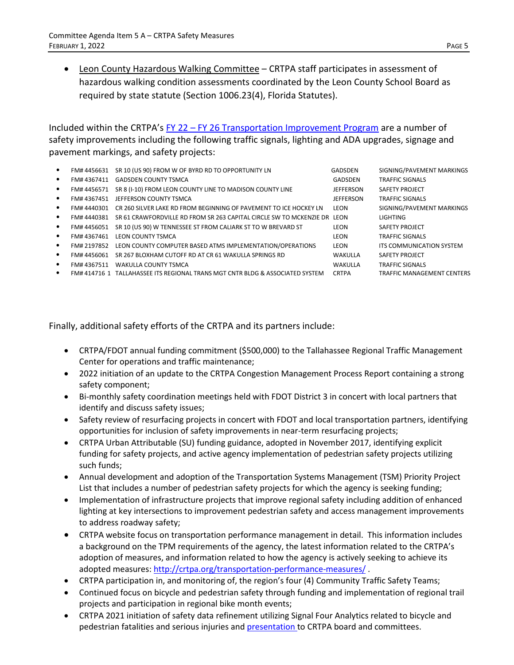- 
- Leon County Hazardous Walking Committee CRTPA staff participates in assessment of hazardous walking condition assessments coordinated by the Leon County School Board as required by state statute (Section 1006.23(4), Florida Statutes).

Included within the CRTPA's FY 22 – [FY 26 Transportation Improvement Program](http://crtpa.org/wp-content/uploads/Adopted-22-26-TIP-Part-I_Nov-2021.pdf) are a number of safety improvements including the following traffic signals, lighting and ADA upgrades, signage and pavement markings, and safety projects:

| ٠         | FM#4456631  | SR 10 (US 90) FROM W OF BYRD RD TO OPPORTUNITY LN                            | GADSDEN      | SIGNING/PAVEMENT MARKINGS         |
|-----------|-------------|------------------------------------------------------------------------------|--------------|-----------------------------------|
| ٠         | FM#4367411  | <b>GADSDEN COUNTY TSMCA</b>                                                  | GADSDEN      | <b>TRAFFIC SIGNALS</b>            |
| ٠         | FM#4456571  | SR 8 (I-10) FROM LEON COUNTY LINE TO MADISON COUNTY LINE                     | JEFFERSON    | SAFETY PROJECT                    |
|           | FM#4367451  | JEFFERSON COUNTY TSMCA                                                       | JEFFERSON    | <b>TRAFFIC SIGNALS</b>            |
|           | FM# 4440301 | CR 260 SILVER LAKE RD FROM BEGINNING OF PAVEMENT TO ICE HOCKEY LN            | LEON         | SIGNING/PAVEMENT MARKINGS         |
|           | FM# 4440381 | SR 61 CRAWFORDVILLE RD FROM SR 263 CAPITAL CIRCLE SW TO MCKENZIE DR LEON     |              | LIGHTING                          |
|           | FM# 4456051 | SR 10 (US 90) W TENNESSEE ST FROM CALIARK ST TO W BREVARD ST                 | LEON         | SAFETY PROJECT                    |
|           | FM#4367461  | LEON COUNTY TSMCA                                                            | LEON         | <b>TRAFFIC SIGNALS</b>            |
|           | FM# 2197852 | LEON COUNTY COMPUTER BASED ATMS IMPLEMENTATION/OPERATIONS                    | LEON         | ITS COMMUNICATION SYSTEM          |
|           | FM# 4456061 | SR 267 BLOXHAM CUTOFF RD AT CR 61 WAKULLA SPRINGS RD                         | WAKULLA      | SAFETY PROJECT                    |
| $\bullet$ | FM# 4367511 | WAKULLA COUNTY TSMCA                                                         | WAKULLA      | <b>TRAFFIC SIGNALS</b>            |
|           |             | FM#414716 1 TALLAHASSEE ITS REGIONAL TRANS MGT CNTR BLDG & ASSOCIATED SYSTEM | <b>CRTPA</b> | <b>TRAFFIC MANAGEMENT CENTERS</b> |
|           |             |                                                                              |              |                                   |

Finally, additional safety efforts of the CRTPA and its partners include:

- CRTPA/FDOT annual funding commitment (\$500,000) to the Tallahassee Regional Traffic Management Center for operations and traffic maintenance;
- 2022 initiation of an update to the CRTPA Congestion Management Process Report containing a strong safety component;
- Bi-monthly safety coordination meetings held with FDOT District 3 in concert with local partners that identify and discuss safety issues;
- Safety review of resurfacing projects in concert with FDOT and local transportation partners, identifying opportunities for inclusion of safety improvements in near-term resurfacing projects;
- CRTPA Urban Attributable (SU) funding guidance, adopted in November 2017, identifying explicit funding for safety projects, and active agency implementation of pedestrian safety projects utilizing such funds;
- Annual development and adoption of the Transportation Systems Management (TSM) Priority Project List that includes a number of pedestrian safety projects for which the agency is seeking funding;
- Implementation of infrastructure projects that improve regional safety including addition of enhanced lighting at key intersections to improvement pedestrian safety and access management improvements to address roadway safety;
- CRTPA website focus on transportation performance management in detail. This information includes a background on the TPM requirements of the agency, the latest information related to the CRTPA's adoption of measures, and information related to how the agency is actively seeking to achieve its adopted measures:<http://crtpa.org/transportation-performance-measures/> .
- CRTPA participation in, and monitoring of, the region's four (4) Community Traffic Safety Teams;
- Continued focus on bicycle and pedestrian safety through funding and implementation of regional trail projects and participation in regional bike month events;
- CRTPA 2021 initiation of safety data refinement utilizing Signal Four Analytics related to bicycle and pedestrian fatalities and serious injuries and [presentation t](http://crtpa.org/wp-content/uploads/June-2021-Safety-pdf.pdf)o CRTPA board and committees.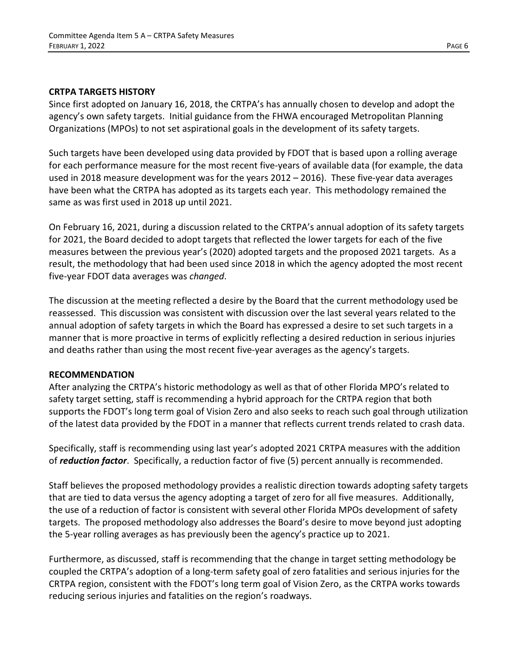# **CRTPA TARGETS HISTORY**

Since first adopted on January 16, 2018, the CRTPA's has annually chosen to develop and adopt the agency's own safety targets. Initial guidance from the FHWA encouraged Metropolitan Planning Organizations (MPOs) to not set aspirational goals in the development of its safety targets.

Such targets have been developed using data provided by FDOT that is based upon a rolling average for each performance measure for the most recent five-years of available data (for example, the data used in 2018 measure development was for the years 2012 – 2016). These five-year data averages have been what the CRTPA has adopted as its targets each year. This methodology remained the same as was first used in 2018 up until 2021.

On February 16, 2021, during a discussion related to the CRTPA's annual adoption of its safety targets for 2021, the Board decided to adopt targets that reflected the lower targets for each of the five measures between the previous year's (2020) adopted targets and the proposed 2021 targets. As a result, the methodology that had been used since 2018 in which the agency adopted the most recent five-year FDOT data averages was *changed*.

The discussion at the meeting reflected a desire by the Board that the current methodology used be reassessed. This discussion was consistent with discussion over the last several years related to the annual adoption of safety targets in which the Board has expressed a desire to set such targets in a manner that is more proactive in terms of explicitly reflecting a desired reduction in serious injuries and deaths rather than using the most recent five-year averages as the agency's targets.

# **RECOMMENDATION**

After analyzing the CRTPA's historic methodology as well as that of other Florida MPO's related to safety target setting, staff is recommending a hybrid approach for the CRTPA region that both supports the FDOT's long term goal of Vision Zero and also seeks to reach such goal through utilization of the latest data provided by the FDOT in a manner that reflects current trends related to crash data.

Specifically, staff is recommending using last year's adopted 2021 CRTPA measures with the addition of *reduction factor*. Specifically, a reduction factor of five (5) percent annually is recommended.

Staff believes the proposed methodology provides a realistic direction towards adopting safety targets that are tied to data versus the agency adopting a target of zero for all five measures. Additionally, the use of a reduction of factor is consistent with several other Florida MPOs development of safety targets. The proposed methodology also addresses the Board's desire to move beyond just adopting the 5-year rolling averages as has previously been the agency's practice up to 2021.

Furthermore, as discussed, staff is recommending that the change in target setting methodology be coupled the CRTPA's adoption of a long-term safety goal of zero fatalities and serious injuries for the CRTPA region, consistent with the FDOT's long term goal of Vision Zero, as the CRTPA works towards reducing serious injuries and fatalities on the region's roadways.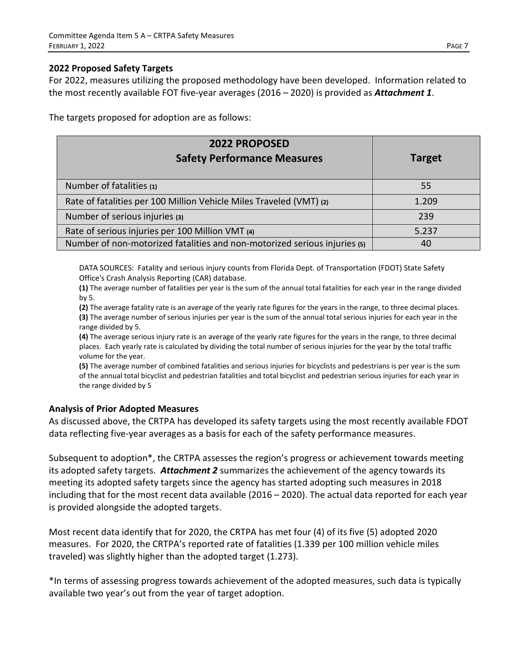#### **2022 Proposed Safety Targets**

For 2022, measures utilizing the proposed methodology have been developed. Information related to the most recently available FOT five-year averages (2016 – 2020) is provided as *Attachment 1*.

The targets proposed for adoption are as follows:

| <b>2022 PROPOSED</b><br><b>Safety Performance Measures</b>                | <b>Target</b> |
|---------------------------------------------------------------------------|---------------|
| Number of fatalities (1)                                                  | 55            |
| Rate of fatalities per 100 Million Vehicle Miles Traveled (VMT) (2)       | 1.209         |
| Number of serious injuries (3)                                            | 239           |
| Rate of serious injuries per 100 Million VMT (4)                          | 5.237         |
| Number of non-motorized fatalities and non-motorized serious injuries (5) | 40            |

DATA SOURCES: Fatality and serious injury counts from Florida Dept. of Transportation (FDOT) State Safety Office's Crash Analysis Reporting (CAR) database.

**(1)** The average number of fatalities per year is the sum of the annual total fatalities for each year in the range divided by 5.

**(2)** The average fatality rate is an average of the yearly rate figures for the years in the range, to three decimal places. **(3)** The average number of serious injuries per year is the sum of the annual total serious injuries for each year in the range divided by 5.

**(4)** The average serious injury rate is an average of the yearly rate figures for the years in the range, to three decimal places. Each yearly rate is calculated by dividing the total number of serious injuries for the year by the total traffic volume for the year.

**(5)** The average number of combined fatalities and serious injuries for bicyclists and pedestrians is per year is the sum of the annual total bicyclist and pedestrian fatalities and total bicyclist and pedestrian serious injuries for each year in the range divided by 5

### **Analysis of Prior Adopted Measures**

As discussed above, the CRTPA has developed its safety targets using the most recently available FDOT data reflecting five-year averages as a basis for each of the safety performance measures.

Subsequent to adoption\*, the CRTPA assesses the region's progress or achievement towards meeting its adopted safety targets. *Attachment 2* summarizes the achievement of the agency towards its meeting its adopted safety targets since the agency has started adopting such measures in 2018 including that for the most recent data available (2016 – 2020). The actual data reported for each year is provided alongside the adopted targets.

Most recent data identify that for 2020, the CRTPA has met four (4) of its five (5) adopted 2020 measures. For 2020, the CRTPA's reported rate of fatalities (1.339 per 100 million vehicle miles traveled) was slightly higher than the adopted target (1.273).

\*In terms of assessing progress towards achievement of the adopted measures, such data is typically available two year's out from the year of target adoption.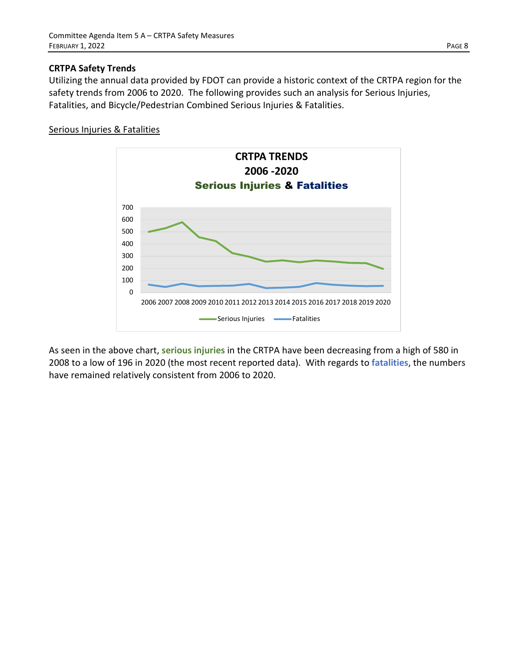### **CRTPA Safety Trends**

Utilizing the annual data provided by FDOT can provide a historic context of the CRTPA region for the safety trends from 2006 to 2020. The following provides such an analysis for Serious Injuries, Fatalities, and Bicycle/Pedestrian Combined Serious Injuries & Fatalities.

#### Serious Injuries & Fatalities



As seen in the above chart, **serious injuries** in the CRTPA have been decreasing from a high of 580 in 2008 to a low of 196 in 2020 (the most recent reported data). With regards to **fatalities**, the numbers have remained relatively consistent from 2006 to 2020.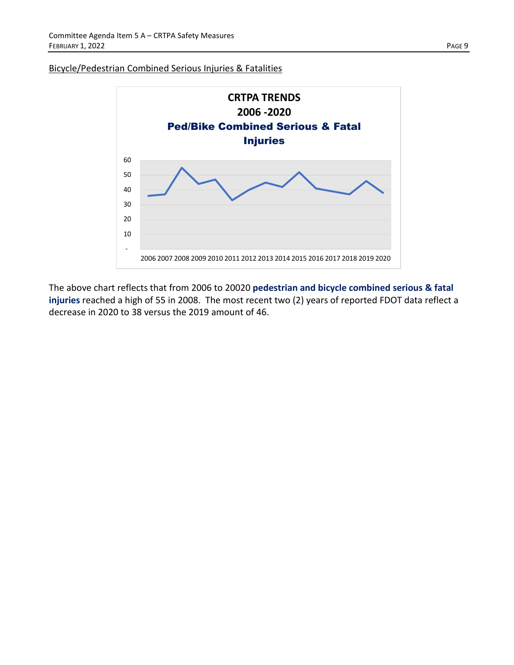#### Bicycle/Pedestrian Combined Serious Injuries & Fatalities



The above chart reflects that from 2006 to 20020 **pedestrian and bicycle combined serious & fatal injuries** reached a high of 55 in 2008. The most recent two (2) years of reported FDOT data reflect a decrease in 2020 to 38 versus the 2019 amount of 46.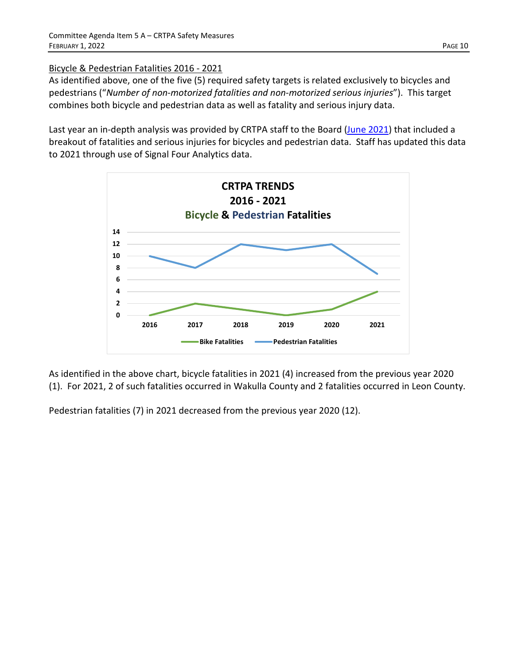# Bicycle & Pedestrian Fatalities 2016 - 2021

As identified above, one of the five (5) required safety targets is related exclusively to bicycles and pedestrians ("*Number of non-motorized fatalities and non-motorized serious injuries*"). This target combines both bicycle and pedestrian data as well as fatality and serious injury data.

Last year an in-depth analysis was provided by CRTPA staff to the Board [\(June 2021\)](http://crtpa.org/wp-content/uploads/June-2021-Safety-pdf.pdf) that included a breakout of fatalities and serious injuries for bicycles and pedestrian data. Staff has updated this data to 2021 through use of Signal Four Analytics data.



As identified in the above chart, bicycle fatalities in 2021 (4) increased from the previous year 2020 (1). For 2021, 2 of such fatalities occurred in Wakulla County and 2 fatalities occurred in Leon County.

Pedestrian fatalities (7) in 2021 decreased from the previous year 2020 (12).